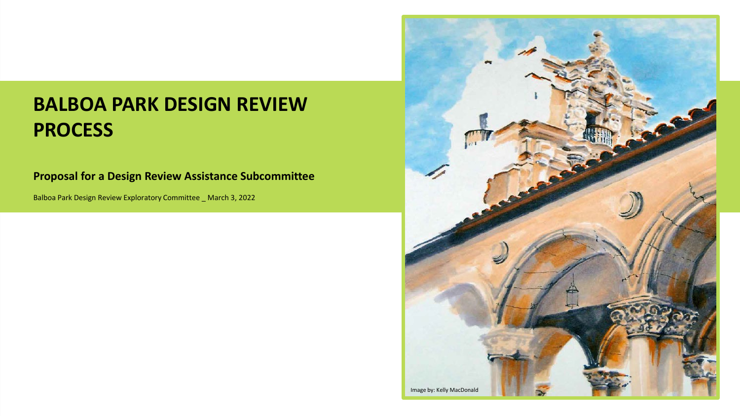#### **BALBOA PARK DESIGN REVIEW PROCESS**

#### **Proposal for a Design Review Assistance Subcommittee**

Balboa Park Design Review Exploratory Committee \_ March 3, 2022

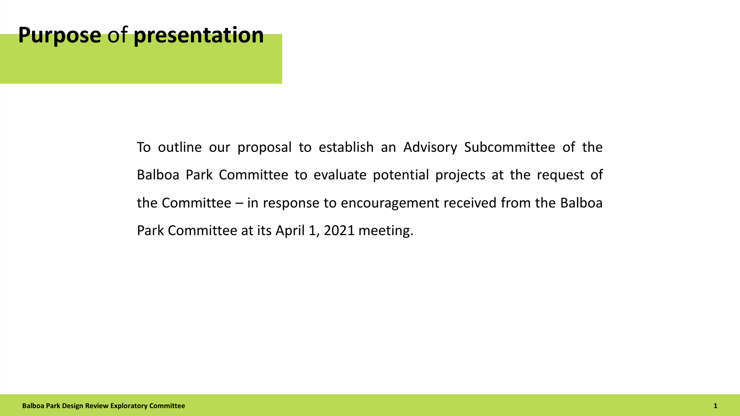## **Purpose** of **presentation**

To outline our proposal to establish an Advisory Subcommittee of the Balboa Park Committee to evaluate potential projects at the request of the Committee – in response to encouragement received from the Balboa Park Committee at its April 1, 2021 meeting.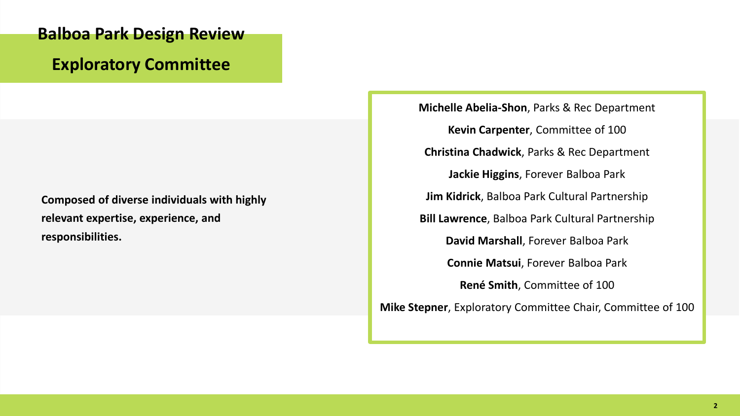## **Balboa Park Design Review Exploratory Committee**

**Composed of diverse individuals with highly relevant expertise, experience, and responsibilities.**

**Michelle Abelia-Shon**, Parks & Rec Department **Kevin Carpenter**, Committee of 100 **Christina Chadwick**, Parks & Rec Department **Jackie Higgins**, Forever Balboa Park **Jim Kidrick**, Balboa Park Cultural Partnership **Bill Lawrence**, Balboa Park Cultural Partnership **David Marshall**, Forever Balboa Park **Connie Matsui**, Forever Balboa Park **René Smith**, Committee of 100 **Mike Stepner**, Exploratory Committee Chair, Committee of 100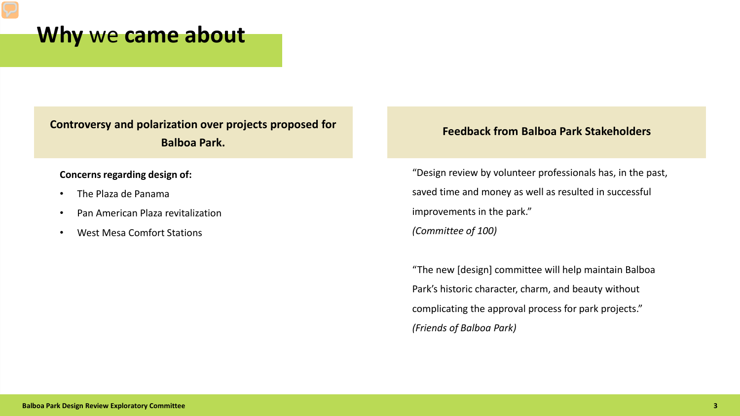#### **Why** we **came about**

**Controversy and polarization over projects proposed for Balboa Park.**

#### **Concerns regarding design of:**

- The Plaza de Panama
- Pan American Plaza revitalization
- West Mesa Comfort Stations

#### **Feedback from Balboa Park Stakeholders**

"Design review by volunteer professionals has, in the past, saved time and money as well as resulted in successful improvements in the park." *(Committee of 100)*

"The new [design] committee will help maintain Balboa Park's historic character, charm, and beauty without complicating the approval process for park projects." *(Friends of Balboa Park)*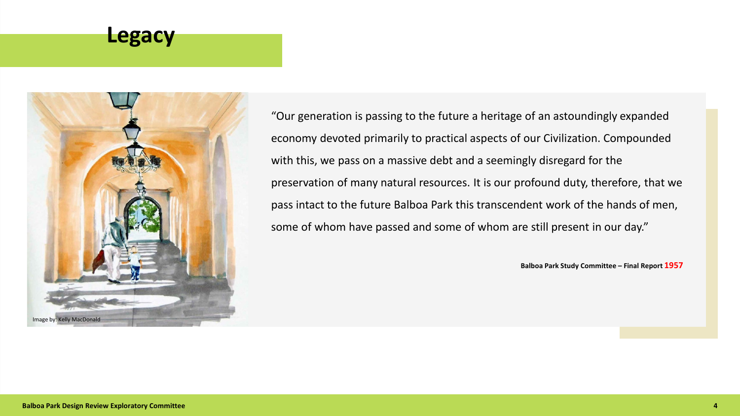#### **Legacy**



"Our generation is passing to the future a heritage of an astoundingly expanded economy devoted primarily to practical aspects of our Civilization. Compounded with this, we pass on a massive debt and a seemingly disregard for the preservation of many natural resources. It is our profound duty, therefore, that we pass intact to the future Balboa Park this transcendent work of the hands of men, some of whom have passed and some of whom are still present in our day."

**Balboa Park Study Committee – Final Report 1957**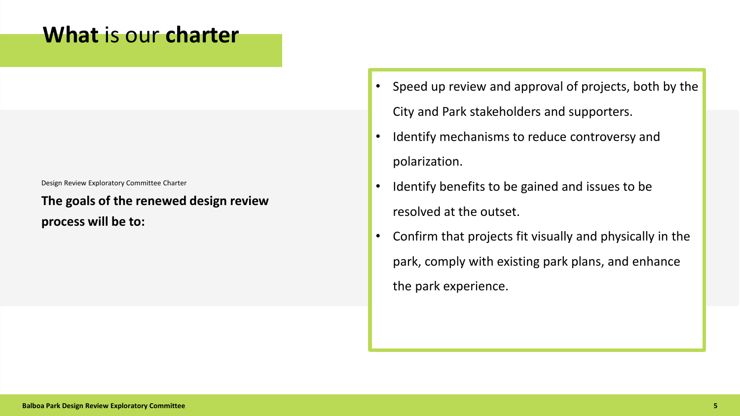#### **What** is our **charter**

Design Review Exploratory Committee Charter

**The goals of the renewed design review process will be to:**

- Speed up review and approval of projects, both by the City and Park stakeholders and supporters.
- Identify mechanisms to reduce controversy and polarization.
- Identify benefits to be gained and issues to be resolved at the outset.
- Confirm that projects fit visually and physically in the park, comply with existing park plans, and enhance the park experience.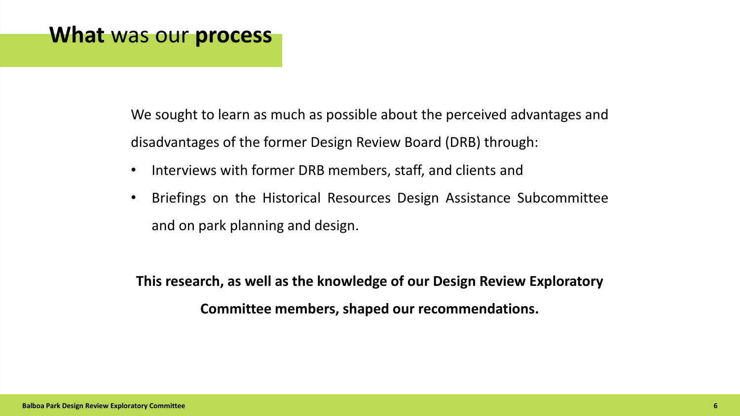#### **What** was our **process**

We sought to learn as much as possible about the perceived advantages and disadvantages of the former Design Review Board (DRB) through:

- Interviews with former DRB members, staff, and clients and
- Briefings on the Historical Resources Design Assistance Subcommittee and on park planning and design.

**This research, as well as the knowledge of our Design Review Exploratory Committee members, shaped our recommendations.**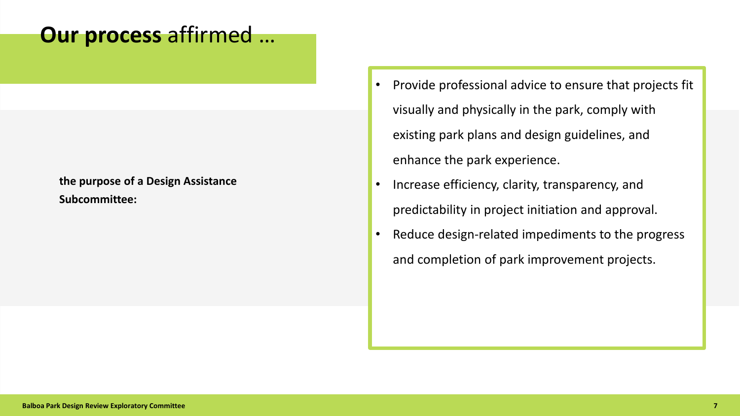## **Our process** affirmed …

#### **the purpose of a Design Assistance Subcommittee:**

- Provide professional advice to ensure that projects fit visually and physically in the park, comply with existing park plans and design guidelines, and enhance the park experience.
- Increase efficiency, clarity, transparency, and predictability in project initiation and approval.
- Reduce design-related impediments to the progress and completion of park improvement projects.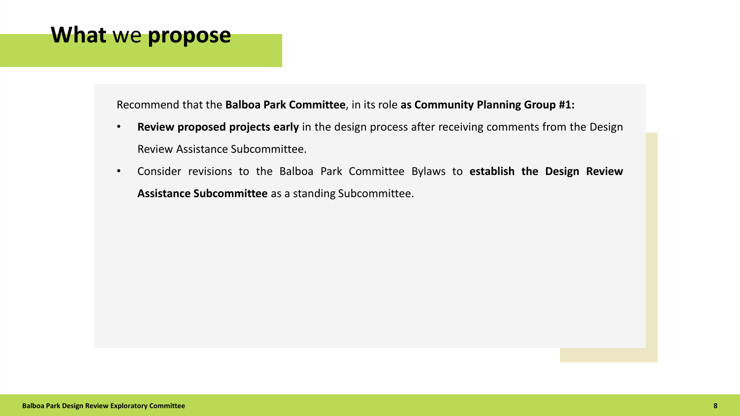#### **What** we **propose**

Recommend that the **Balboa Park Committee**, in its role **as Community Planning Group #1:**

- **Review proposed projects early** in the design process after receiving comments from the Design Review Assistance Subcommittee.
- Consider revisions to the Balboa Park Committee Bylaws to **establish the Design Review Assistance Subcommittee** as a standing Subcommittee.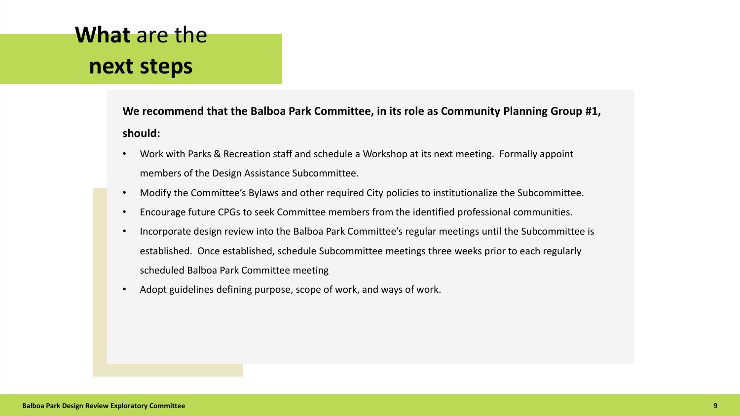# **What** are the **next steps**

**We recommend that the Balboa Park Committee, in its role as Community Planning Group #1, should:**

- Work with Parks & Recreation staff and schedule a Workshop at its next meeting. Formally appoint members of the Design Assistance Subcommittee.
- Modify the Committee's Bylaws and other required City policies to institutionalize the Subcommittee.
- Encourage future CPGs to seek Committee members from the identified professional communities.
- Incorporate design review into the Balboa Park Committee's regular meetings until the Subcommittee is established. Once established, schedule Subcommittee meetings three weeks prior to each regularly scheduled Balboa Park Committee meeting
- Adopt guidelines defining purpose, scope of work, and ways of work.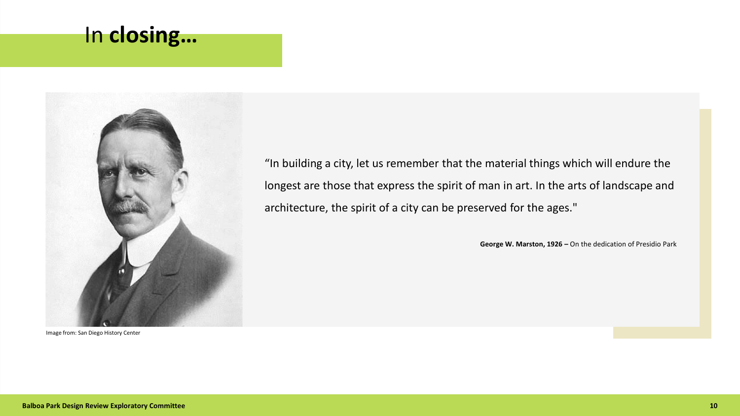### In **closing…**



Image from: San Diego History Center

"In building a city, let us remember that the material things which will endure the longest are those that express the spirit of man in art. In the arts of landscape and architecture, the spirit of a city can be preserved for the ages."

**George W. Marston, 1926 –** On the dedication of Presidio Park